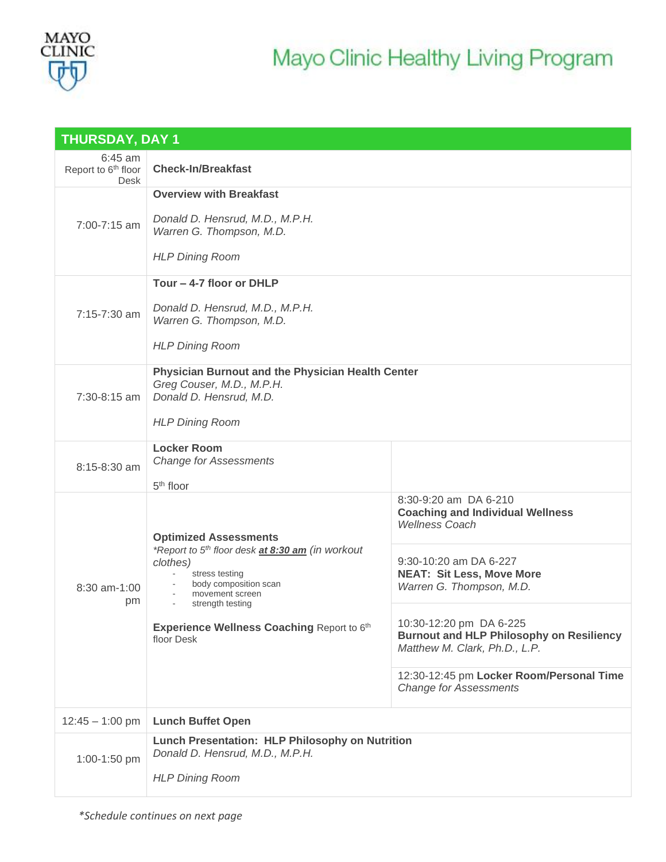

| <b>THURSDAY, DAY 1</b>                               |                                                                                                                                                                                                            |                                                                                                             |  |  |  |
|------------------------------------------------------|------------------------------------------------------------------------------------------------------------------------------------------------------------------------------------------------------------|-------------------------------------------------------------------------------------------------------------|--|--|--|
| $6:45$ am<br>Report to 6 <sup>th</sup> floor<br>Desk | <b>Check-In/Breakfast</b>                                                                                                                                                                                  |                                                                                                             |  |  |  |
|                                                      | <b>Overview with Breakfast</b>                                                                                                                                                                             |                                                                                                             |  |  |  |
| 7:00-7:15 am                                         | Donald D. Hensrud, M.D., M.P.H.<br>Warren G. Thompson, M.D.                                                                                                                                                |                                                                                                             |  |  |  |
|                                                      | <b>HLP Dining Room</b>                                                                                                                                                                                     |                                                                                                             |  |  |  |
|                                                      | Tour - 4-7 floor or DHLP                                                                                                                                                                                   |                                                                                                             |  |  |  |
| 7:15-7:30 am                                         | Donald D. Hensrud, M.D., M.P.H.<br>Warren G. Thompson, M.D.                                                                                                                                                |                                                                                                             |  |  |  |
|                                                      | <b>HLP Dining Room</b>                                                                                                                                                                                     |                                                                                                             |  |  |  |
| 7:30-8:15 am                                         | <b>Physician Burnout and the Physician Health Center</b><br>Greg Couser, M.D., M.P.H.<br>Donald D. Hensrud, M.D.                                                                                           |                                                                                                             |  |  |  |
|                                                      | <b>HLP Dining Room</b>                                                                                                                                                                                     |                                                                                                             |  |  |  |
|                                                      | <b>Locker Room</b><br><b>Change for Assessments</b>                                                                                                                                                        |                                                                                                             |  |  |  |
| 8:15-8:30 am                                         | 5 <sup>th</sup> floor                                                                                                                                                                                      |                                                                                                             |  |  |  |
| 8:30 am-1:00<br>pm                                   | <b>Optimized Assessments</b>                                                                                                                                                                               | 8:30-9:20 am DA 6-210<br><b>Coaching and Individual Wellness</b><br><b>Wellness Coach</b>                   |  |  |  |
|                                                      | *Report to 5th floor desk at 8:30 am (in workout<br>clothes)<br>stress testing<br>body composition scan<br>movement screen<br>strength testing<br>Experience Wellness Coaching Report to 6th<br>floor Desk | 9:30-10:20 am DA 6-227<br><b>NEAT: Sit Less, Move More</b><br>Warren G. Thompson, M.D.                      |  |  |  |
|                                                      |                                                                                                                                                                                                            | 10:30-12:20 pm DA 6-225<br><b>Burnout and HLP Philosophy on Resiliency</b><br>Matthew M. Clark, Ph.D., L.P. |  |  |  |
|                                                      |                                                                                                                                                                                                            | 12:30-12:45 pm Locker Room/Personal Time<br><b>Change for Assessments</b>                                   |  |  |  |
| $12:45 - 1:00$ pm                                    | <b>Lunch Buffet Open</b>                                                                                                                                                                                   |                                                                                                             |  |  |  |
| 1:00-1:50 pm                                         | Lunch Presentation: HLP Philosophy on Nutrition<br>Donald D. Hensrud, M.D., M.P.H.<br><b>HLP Dining Room</b>                                                                                               |                                                                                                             |  |  |  |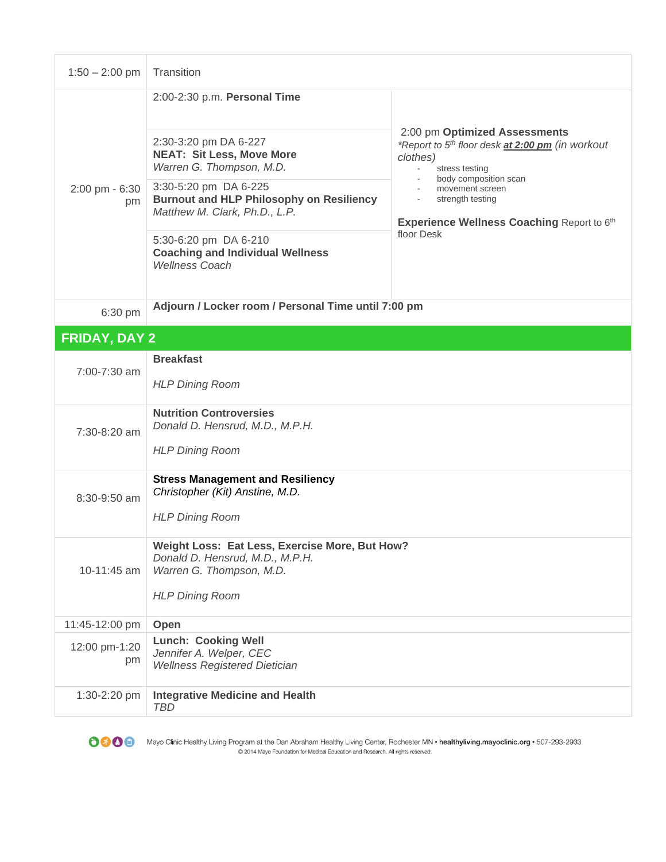| $1:50 - 2:00$ pm     | Transition                                                                                                                              |                                                                                                                                                                                                                                           |  |  |
|----------------------|-----------------------------------------------------------------------------------------------------------------------------------------|-------------------------------------------------------------------------------------------------------------------------------------------------------------------------------------------------------------------------------------------|--|--|
| 2:00 pm - 6:30<br>pm | 2:00-2:30 p.m. Personal Time                                                                                                            |                                                                                                                                                                                                                                           |  |  |
|                      | 2:30-3:20 pm DA 6-227<br><b>NEAT: Sit Less, Move More</b><br>Warren G. Thompson, M.D.                                                   | 2:00 pm Optimized Assessments<br>*Report to 5 <sup>th</sup> floor desk at 2:00 pm (in workout<br>clothes)<br>stress testing<br>body composition scan<br>movement screen<br>strength testing<br>Experience Wellness Coaching Report to 6th |  |  |
|                      | 3:30-5:20 pm DA 6-225<br><b>Burnout and HLP Philosophy on Resiliency</b><br>Matthew M. Clark, Ph.D., L.P.                               |                                                                                                                                                                                                                                           |  |  |
|                      | 5:30-6:20 pm DA 6-210<br><b>Coaching and Individual Wellness</b><br><b>Wellness Coach</b>                                               | floor Desk                                                                                                                                                                                                                                |  |  |
| 6:30 pm              | Adjourn / Locker room / Personal Time until 7:00 pm                                                                                     |                                                                                                                                                                                                                                           |  |  |
| <b>FRIDAY, DAY 2</b> |                                                                                                                                         |                                                                                                                                                                                                                                           |  |  |
|                      | <b>Breakfast</b>                                                                                                                        |                                                                                                                                                                                                                                           |  |  |
| 7:00-7:30 am         | <b>HLP Dining Room</b>                                                                                                                  |                                                                                                                                                                                                                                           |  |  |
| 7:30-8:20 am         | <b>Nutrition Controversies</b><br>Donald D. Hensrud, M.D., M.P.H.<br><b>HLP Dining Room</b>                                             |                                                                                                                                                                                                                                           |  |  |
| $8:30-9:50$ am       | <b>Stress Management and Resiliency</b><br>Christopher (Kit) Anstine, M.D.<br><b>HLP Dining Room</b>                                    |                                                                                                                                                                                                                                           |  |  |
| 10-11:45 am          | Weight Loss: Eat Less, Exercise More, But How?<br>Donald D. Hensrud, M.D., M.P.H.<br>Warren G. Thompson, M.D.<br><b>HLP Dining Room</b> |                                                                                                                                                                                                                                           |  |  |
| 11:45-12:00 pm       | Open                                                                                                                                    |                                                                                                                                                                                                                                           |  |  |
| 12:00 pm-1:20<br>pm  | <b>Lunch: Cooking Well</b><br>Jennifer A. Welper, CEC<br><b>Wellness Registered Dietician</b>                                           |                                                                                                                                                                                                                                           |  |  |
| 1:30-2:20 pm         | <b>Integrative Medicine and Health</b><br><b>TBD</b>                                                                                    |                                                                                                                                                                                                                                           |  |  |



Mayo Clinic Healthy Living Program at the Dan Abraham Healthy Living Center, Rochester MN · healthyliving.mayoclinic.org · 507-293-2933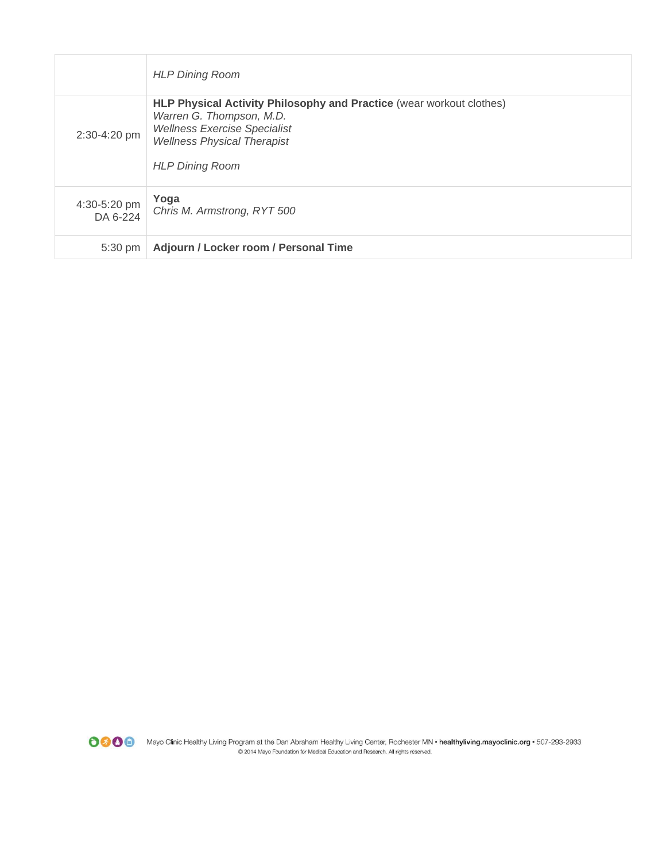|                          | <b>HLP Dining Room</b>                                                                                                                                                                                  |
|--------------------------|---------------------------------------------------------------------------------------------------------------------------------------------------------------------------------------------------------|
| 2:30-4:20 pm             | HLP Physical Activity Philosophy and Practice (wear workout clothes)<br>Warren G. Thompson, M.D.<br><b>Wellness Exercise Specialist</b><br><b>Wellness Physical Therapist</b><br><b>HLP Dining Room</b> |
| 4:30-5:20 pm<br>DA 6-224 | Yoga<br>Chris M. Armstrong, RYT 500                                                                                                                                                                     |
| 5:30 pm                  | Adjourn / Locker room / Personal Time                                                                                                                                                                   |

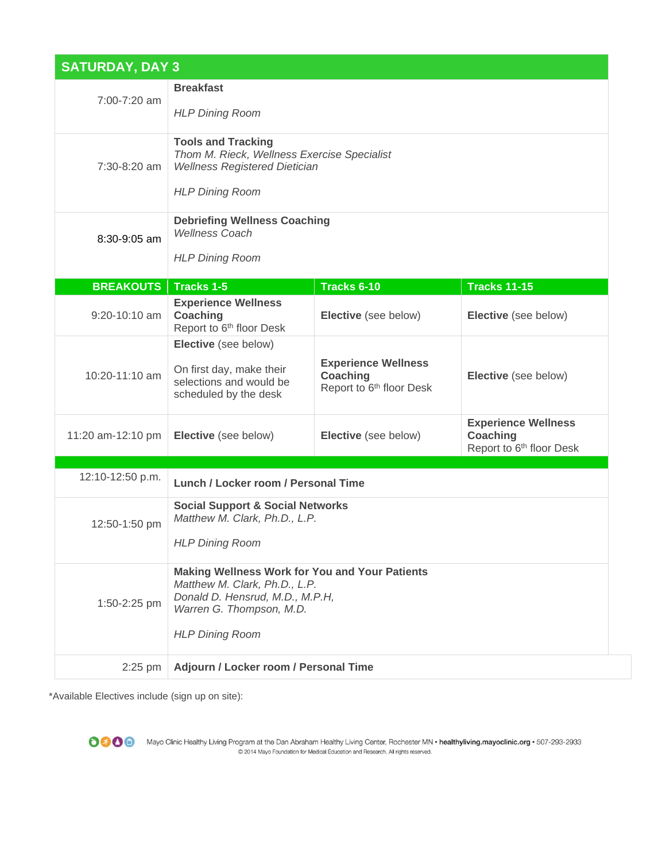| <b>SATURDAY, DAY 3</b> |                                                                                                                                                                                 |                                                                                |                                                                                       |  |  |
|------------------------|---------------------------------------------------------------------------------------------------------------------------------------------------------------------------------|--------------------------------------------------------------------------------|---------------------------------------------------------------------------------------|--|--|
| 7:00-7:20 am           | <b>Breakfast</b><br><b>HLP Dining Room</b>                                                                                                                                      |                                                                                |                                                                                       |  |  |
| 7:30-8:20 am           | <b>Tools and Tracking</b><br>Thom M. Rieck, Wellness Exercise Specialist<br><b>Wellness Registered Dietician</b><br><b>HLP Dining Room</b>                                      |                                                                                |                                                                                       |  |  |
| 8:30-9:05 am           | <b>Debriefing Wellness Coaching</b><br><b>Wellness Coach</b><br><b>HLP Dining Room</b>                                                                                          |                                                                                |                                                                                       |  |  |
| <b>BREAKOUTS</b>       | <b>Tracks 1-5</b>                                                                                                                                                               | Tracks 6-10                                                                    | <b>Tracks 11-15</b>                                                                   |  |  |
| 9:20-10:10 am          | <b>Experience Wellness</b><br>Coaching<br>Report to 6 <sup>th</sup> floor Desk                                                                                                  | Elective (see below)                                                           | Elective (see below)                                                                  |  |  |
| 10:20-11:10 am         | Elective (see below)<br>On first day, make their<br>selections and would be<br>scheduled by the desk                                                                            | <b>Experience Wellness</b><br>Coaching<br>Report to 6 <sup>th</sup> floor Desk | Elective (see below)                                                                  |  |  |
| 11:20 am-12:10 pm      | Elective (see below)                                                                                                                                                            | Elective (see below)                                                           | <b>Experience Wellness</b><br><b>Coaching</b><br>Report to 6 <sup>th</sup> floor Desk |  |  |
|                        |                                                                                                                                                                                 |                                                                                |                                                                                       |  |  |
| 12:10-12:50 p.m.       | Lunch / Locker room / Personal Time                                                                                                                                             |                                                                                |                                                                                       |  |  |
| 12:50-1:50 pm          | <b>Social Support &amp; Social Networks</b><br>Matthew M. Clark, Ph.D., L.P.<br><b>HLP Dining Room</b>                                                                          |                                                                                |                                                                                       |  |  |
| 1:50-2:25 pm           | <b>Making Wellness Work for You and Your Patients</b><br>Matthew M. Clark, Ph.D., L.P.<br>Donald D. Hensrud, M.D., M.P.H,<br>Warren G. Thompson, M.D.<br><b>HLP Dining Room</b> |                                                                                |                                                                                       |  |  |
| $2:25$ pm              | Adjourn / Locker room / Personal Time                                                                                                                                           |                                                                                |                                                                                       |  |  |

\*Available Electives include (sign up on site):



OCO Mayo Clinic Healthy Living Program at the Dan Abraham Healthy Living Center, Rochester MN · healthyliving.mayoclinic.org · 507-293-2933